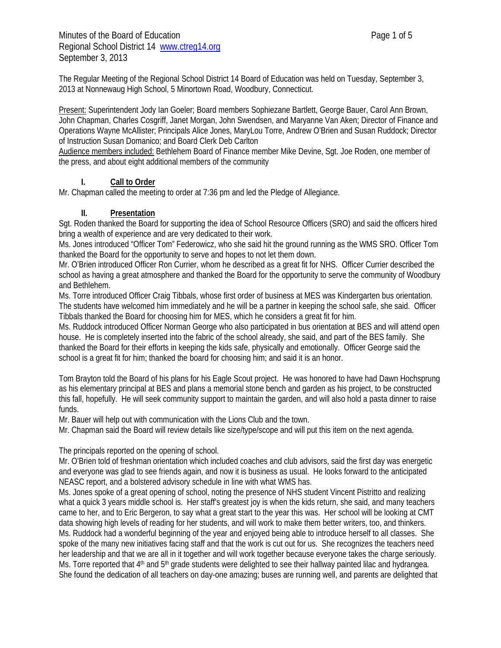The Regular Meeting of the Regional School District 14 Board of Education was held on Tuesday, September 3, 2013 at Nonnewaug High School, 5 Minortown Road, Woodbury, Connecticut.

Present: Superintendent Jody Ian Goeler; Board members Sophiezane Bartlett, George Bauer, Carol Ann Brown, John Chapman, Charles Cosgriff, Janet Morgan, John Swendsen, and Maryanne Van Aken; Director of Finance and Operations Wayne McAllister; Principals Alice Jones, MaryLou Torre, Andrew O'Brien and Susan Ruddock; Director of Instruction Susan Domanico; and Board Clerk Deb Carlton

Audience members included: Bethlehem Board of Finance member Mike Devine, Sgt. Joe Roden, one member of the press, and about eight additional members of the community

## **I. Call to Order**

Mr. Chapman called the meeting to order at 7:36 pm and led the Pledge of Allegiance.

## **II. Presentation**

Sgt. Roden thanked the Board for supporting the idea of School Resource Officers (SRO) and said the officers hired bring a wealth of experience and are very dedicated to their work.

Ms. Jones introduced "Officer Tom" Federowicz, who she said hit the ground running as the WMS SRO. Officer Tom thanked the Board for the opportunity to serve and hopes to not let them down.

Mr. O'Brien introduced Officer Ron Currier, whom he described as a great fit for NHS. Officer Currier described the school as having a great atmosphere and thanked the Board for the opportunity to serve the community of Woodbury and Bethlehem.

Ms. Torre introduced Officer Craig Tibbals, whose first order of business at MES was Kindergarten bus orientation. The students have welcomed him immediately and he will be a partner in keeping the school safe, she said. Officer Tibbals thanked the Board for choosing him for MES, which he considers a great fit for him.

Ms. Ruddock introduced Officer Norman George who also participated in bus orientation at BES and will attend open house. He is completely inserted into the fabric of the school already, she said, and part of the BES family. She thanked the Board for their efforts in keeping the kids safe, physically and emotionally. Officer George said the school is a great fit for him; thanked the board for choosing him; and said it is an honor.

Tom Brayton told the Board of his plans for his Eagle Scout project. He was honored to have had Dawn Hochsprung as his elementary principal at BES and plans a memorial stone bench and garden as his project, to be constructed this fall, hopefully. He will seek community support to maintain the garden, and will also hold a pasta dinner to raise funds.

Mr. Bauer will help out with communication with the Lions Club and the town.

Mr. Chapman said the Board will review details like size/type/scope and will put this item on the next agenda.

## The principals reported on the opening of school.

Mr. O'Brien told of freshman orientation which included coaches and club advisors, said the first day was energetic and everyone was glad to see friends again, and now it is business as usual. He looks forward to the anticipated NEASC report, and a bolstered advisory schedule in line with what WMS has.

Ms. Jones spoke of a great opening of school, noting the presence of NHS student Vincent Pistritto and realizing what a quick 3 years middle school is. Her staff's greatest joy is when the kids return, she said, and many teachers came to her, and to Eric Bergeron, to say what a great start to the year this was. Her school will be looking at CMT data showing high levels of reading for her students, and will work to make them better writers, too, and thinkers. Ms. Ruddock had a wonderful beginning of the year and enjoyed being able to introduce herself to all classes. She spoke of the many new initiatives facing staff and that the work is cut out for us. She recognizes the teachers need her leadership and that we are all in it together and will work together because everyone takes the charge seriously. Ms. Torre reported that 4<sup>th</sup> and 5<sup>th</sup> grade students were delighted to see their hallway painted lilac and hydrangea. She found the dedication of all teachers on day-one amazing; buses are running well, and parents are delighted that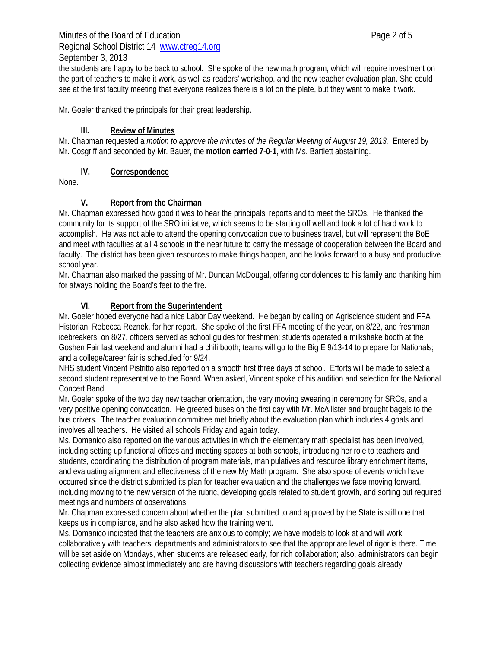### Minutes of the Board of Education **Page 2 of 5** and  $P$ Regional School District 14 www.ctreg14.org September 3, 2013

the students are happy to be back to school. She spoke of the new math program, which will require investment on the part of teachers to make it work, as well as readers' workshop, and the new teacher evaluation plan. She could see at the first faculty meeting that everyone realizes there is a lot on the plate, but they want to make it work.

Mr. Goeler thanked the principals for their great leadership.

### **III. Review of Minutes**

Mr. Chapman requested a *motion to approve the minutes of the Regular Meeting of August 19, 2013.* Entered by Mr. Cosgriff and seconded by Mr. Bauer, the **motion carried 7-0-1**, with Ms. Bartlett abstaining.

### **IV. Correspondence**

None.

### **V. Report from the Chairman**

Mr. Chapman expressed how good it was to hear the principals' reports and to meet the SROs. He thanked the community for its support of the SRO initiative, which seems to be starting off well and took a lot of hard work to accomplish. He was not able to attend the opening convocation due to business travel, but will represent the BoE and meet with faculties at all 4 schools in the near future to carry the message of cooperation between the Board and faculty. The district has been given resources to make things happen, and he looks forward to a busy and productive school year.

Mr. Chapman also marked the passing of Mr. Duncan McDougal, offering condolences to his family and thanking him for always holding the Board's feet to the fire.

### **VI. Report from the Superintendent**

Mr. Goeler hoped everyone had a nice Labor Day weekend. He began by calling on Agriscience student and FFA Historian, Rebecca Reznek, for her report. She spoke of the first FFA meeting of the year, on 8/22, and freshman icebreakers; on 8/27, officers served as school guides for freshmen; students operated a milkshake booth at the Goshen Fair last weekend and alumni had a chili booth; teams will go to the Big E 9/13-14 to prepare for Nationals; and a college/career fair is scheduled for 9/24.

NHS student Vincent Pistritto also reported on a smooth first three days of school. Efforts will be made to select a second student representative to the Board. When asked, Vincent spoke of his audition and selection for the National Concert Band.

Mr. Goeler spoke of the two day new teacher orientation, the very moving swearing in ceremony for SROs, and a very positive opening convocation. He greeted buses on the first day with Mr. McAllister and brought bagels to the bus drivers. The teacher evaluation committee met briefly about the evaluation plan which includes 4 goals and involves all teachers. He visited all schools Friday and again today.

Ms. Domanico also reported on the various activities in which the elementary math specialist has been involved, including setting up functional offices and meeting spaces at both schools, introducing her role to teachers and students, coordinating the distribution of program materials, manipulatives and resource library enrichment items, and evaluating alignment and effectiveness of the new My Math program. She also spoke of events which have occurred since the district submitted its plan for teacher evaluation and the challenges we face moving forward, including moving to the new version of the rubric, developing goals related to student growth, and sorting out required meetings and numbers of observations.

Mr. Chapman expressed concern about whether the plan submitted to and approved by the State is still one that keeps us in compliance, and he also asked how the training went.

Ms. Domanico indicated that the teachers are anxious to comply; we have models to look at and will work collaboratively with teachers, departments and administrators to see that the appropriate level of rigor is there. Time will be set aside on Mondays, when students are released early, for rich collaboration; also, administrators can begin collecting evidence almost immediately and are having discussions with teachers regarding goals already.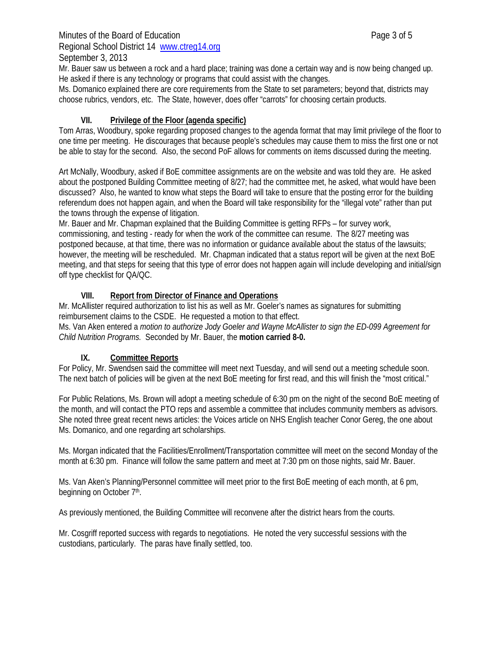### Minutes of the Board of Education **Page 3 of 5** and  $P$ Regional School District 14 www.ctreg14.org September 3, 2013

Ms. Domanico explained there are core requirements from the State to set parameters; beyond that, districts may choose rubrics, vendors, etc. The State, however, does offer "carrots" for choosing certain products.

## **VII. Privilege of the Floor (agenda specific)**

Tom Arras, Woodbury, spoke regarding proposed changes to the agenda format that may limit privilege of the floor to one time per meeting. He discourages that because people's schedules may cause them to miss the first one or not be able to stay for the second. Also, the second PoF allows for comments on items discussed during the meeting.

Art McNally, Woodbury, asked if BoE committee assignments are on the website and was told they are. He asked about the postponed Building Committee meeting of 8/27; had the committee met, he asked, what would have been discussed? Also, he wanted to know what steps the Board will take to ensure that the posting error for the building referendum does not happen again, and when the Board will take responsibility for the "illegal vote" rather than put the towns through the expense of litigation.

Mr. Bauer and Mr. Chapman explained that the Building Committee is getting RFPs – for survey work, commissioning, and testing - ready for when the work of the committee can resume. The 8/27 meeting was postponed because, at that time, there was no information or guidance available about the status of the lawsuits; however, the meeting will be rescheduled. Mr. Chapman indicated that a status report will be given at the next BoE meeting, and that steps for seeing that this type of error does not happen again will include developing and initial/sign off type checklist for QA/QC.

## **VIII. Report from Director of Finance and Operations**

Mr. McAllister required authorization to list his as well as Mr. Goeler's names as signatures for submitting reimbursement claims to the CSDE. He requested a motion to that effect.

Ms. Van Aken entered a *motion to authorize Jody Goeler and Wayne McAllister to sign the ED-099 Agreement for Child Nutrition Programs.* Seconded by Mr. Bauer, the **motion carried 8-0.** 

# **IX. Committee Reports**

For Policy, Mr. Swendsen said the committee will meet next Tuesday, and will send out a meeting schedule soon. The next batch of policies will be given at the next BoE meeting for first read, and this will finish the "most critical."

For Public Relations, Ms. Brown will adopt a meeting schedule of 6:30 pm on the night of the second BoE meeting of the month, and will contact the PTO reps and assemble a committee that includes community members as advisors. She noted three great recent news articles: the Voices article on NHS English teacher Conor Gereg, the one about Ms. Domanico, and one regarding art scholarships.

Ms. Morgan indicated that the Facilities/Enrollment/Transportation committee will meet on the second Monday of the month at 6:30 pm. Finance will follow the same pattern and meet at 7:30 pm on those nights, said Mr. Bauer.

Ms. Van Aken's Planning/Personnel committee will meet prior to the first BoE meeting of each month, at 6 pm, beginning on October 7<sup>th</sup>.

As previously mentioned, the Building Committee will reconvene after the district hears from the courts.

Mr. Cosgriff reported success with regards to negotiations. He noted the very successful sessions with the custodians, particularly. The paras have finally settled, too.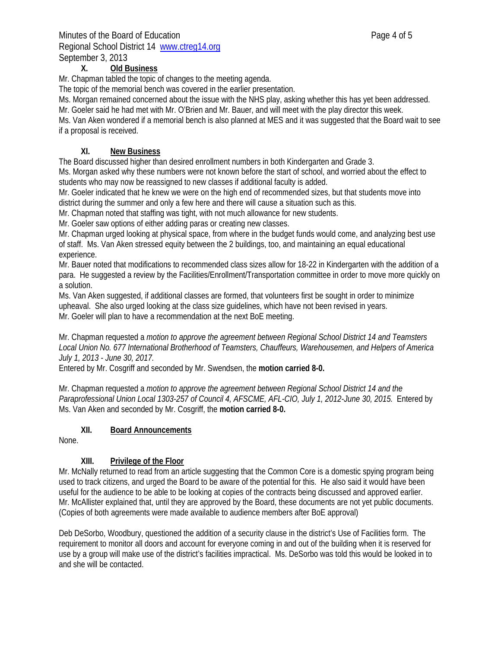## Minutes of the Board of Education **Page 4 of 5** Page 4 of 5 Regional School District 14 www.ctreg14.org September 3, 2013

### **X. Old Business**

Mr. Chapman tabled the topic of changes to the meeting agenda.

The topic of the memorial bench was covered in the earlier presentation.

Ms. Morgan remained concerned about the issue with the NHS play, asking whether this has yet been addressed.

Mr. Goeler said he had met with Mr. O'Brien and Mr. Bauer, and will meet with the play director this week.

Ms. Van Aken wondered if a memorial bench is also planned at MES and it was suggested that the Board wait to see if a proposal is received.

## **XI. New Business**

The Board discussed higher than desired enrollment numbers in both Kindergarten and Grade 3.

Ms. Morgan asked why these numbers were not known before the start of school, and worried about the effect to students who may now be reassigned to new classes if additional faculty is added.

Mr. Goeler indicated that he knew we were on the high end of recommended sizes, but that students move into district during the summer and only a few here and there will cause a situation such as this.

Mr. Chapman noted that staffing was tight, with not much allowance for new students.

Mr. Goeler saw options of either adding paras or creating new classes.

Mr. Chapman urged looking at physical space, from where in the budget funds would come, and analyzing best use of staff. Ms. Van Aken stressed equity between the 2 buildings, too, and maintaining an equal educational experience.

Mr. Bauer noted that modifications to recommended class sizes allow for 18-22 in Kindergarten with the addition of a para. He suggested a review by the Facilities/Enrollment/Transportation committee in order to move more quickly on a solution.

Ms. Van Aken suggested, if additional classes are formed, that volunteers first be sought in order to minimize upheaval. She also urged looking at the class size guidelines, which have not been revised in years. Mr. Goeler will plan to have a recommendation at the next BoE meeting.

### Mr. Chapman requested a *motion to approve the agreement between Regional School District 14 and Teamsters Local Union No. 677 International Brotherhood of Teamsters, Chauffeurs, Warehousemen, and Helpers of America July 1, 2013 - June 30, 2017.*

Entered by Mr. Cosgriff and seconded by Mr. Swendsen, the **motion carried 8-0.**

Mr. Chapman requested a *motion to approve the agreement between Regional School District 14 and the Paraprofessional Union Local 1303-257 of Council 4, AFSCME, AFL-CIO, July 1, 2012-June 30, 2015.* Entered by Ms. Van Aken and seconded by Mr. Cosgriff, the **motion carried 8-0.** 

### **XII. Board Announcements**

None.

## **XIII. Privilege of the Floor**

Mr. McNally returned to read from an article suggesting that the Common Core is a domestic spying program being used to track citizens, and urged the Board to be aware of the potential for this. He also said it would have been useful for the audience to be able to be looking at copies of the contracts being discussed and approved earlier. Mr. McAllister explained that, until they are approved by the Board, these documents are not yet public documents. (Copies of both agreements were made available to audience members after BoE approval)

Deb DeSorbo, Woodbury, questioned the addition of a security clause in the district's Use of Facilities form. The requirement to monitor all doors and account for everyone coming in and out of the building when it is reserved for use by a group will make use of the district's facilities impractical. Ms. DeSorbo was told this would be looked in to and she will be contacted.